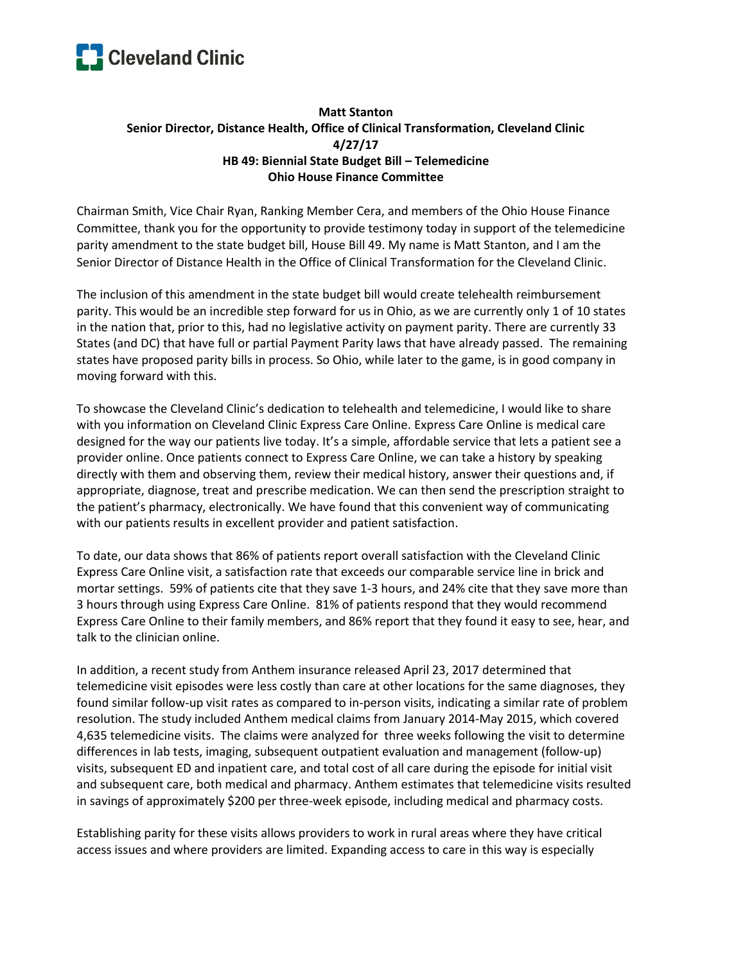

## **Matt Stanton Senior Director, Distance Health, Office of Clinical Transformation, Cleveland Clinic 4/27/17 HB 49: Biennial State Budget Bill – Telemedicine Ohio House Finance Committee**

Chairman Smith, Vice Chair Ryan, Ranking Member Cera, and members of the Ohio House Finance Committee, thank you for the opportunity to provide testimony today in support of the telemedicine parity amendment to the state budget bill, House Bill 49. My name is Matt Stanton, and I am the Senior Director of Distance Health in the Office of Clinical Transformation for the Cleveland Clinic.

The inclusion of this amendment in the state budget bill would create telehealth reimbursement parity. This would be an incredible step forward for us in Ohio, as we are currently only 1 of 10 states in the nation that, prior to this, had no legislative activity on payment parity. There are currently 33 States (and DC) that have full or partial Payment Parity laws that have already passed. The remaining states have proposed parity bills in process. So Ohio, while later to the game, is in good company in moving forward with this.

To showcase the Cleveland Clinic's dedication to telehealth and telemedicine, I would like to share with you information on Cleveland Clinic Express Care Online. Express Care Online is medical care designed for the way our patients live today. It's a simple, affordable service that lets a patient see a provider online. Once patients connect to Express Care Online, we can take a history by speaking directly with them and observing them, review their medical history, answer their questions and, if appropriate, diagnose, treat and prescribe medication. We can then send the prescription straight to the patient's pharmacy, electronically. We have found that this convenient way of communicating with our patients results in excellent provider and patient satisfaction.

To date, our data shows that 86% of patients report overall satisfaction with the Cleveland Clinic Express Care Online visit, a satisfaction rate that exceeds our comparable service line in brick and mortar settings. 59% of patients cite that they save 1-3 hours, and 24% cite that they save more than 3 hours through using Express Care Online. 81% of patients respond that they would recommend Express Care Online to their family members, and 86% report that they found it easy to see, hear, and talk to the clinician online.

In addition, a recent study from Anthem insurance released April 23, 2017 determined that telemedicine visit episodes were less costly than care at other locations for the same diagnoses, they found similar follow-up visit rates as compared to in-person visits, indicating a similar rate of problem resolution. The study included Anthem medical claims from January 2014-May 2015, which covered 4,635 telemedicine visits. The claims were analyzed for three weeks following the visit to determine differences in lab tests, imaging, subsequent outpatient evaluation and management (follow-up) visits, subsequent ED and inpatient care, and total cost of all care during the episode for initial visit and subsequent care, both medical and pharmacy. Anthem estimates that telemedicine visits resulted in savings of approximately \$200 per three-week episode, including medical and pharmacy costs.

Establishing parity for these visits allows providers to work in rural areas where they have critical access issues and where providers are limited. Expanding access to care in this way is especially